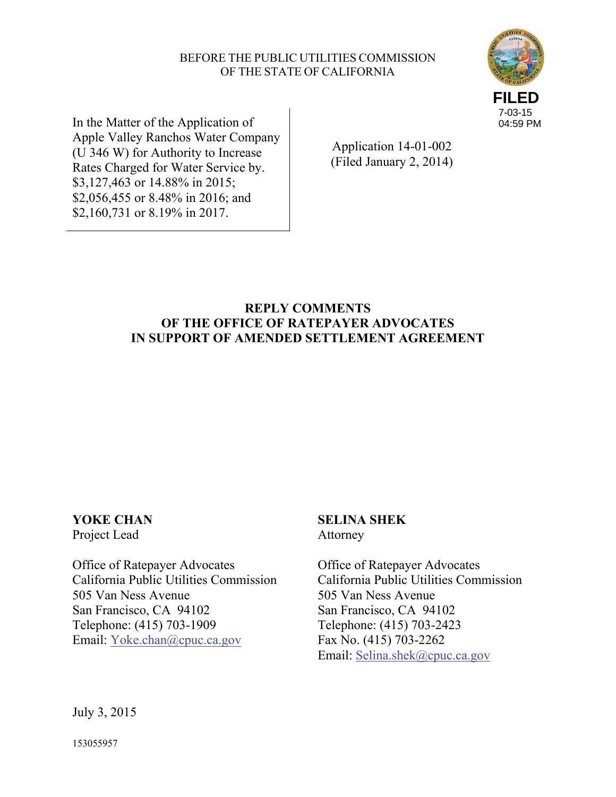## BEFORE THE PUBLIC UTILITIES COMMISSION OF THE STATE OF CALIFORNIA



In the Matter of the Application of Apple Valley Ranchos Water Company (U 346 W) for Authority to Increase Rates Charged for Water Service by. \$3,127,463 or 14.88% in 2015; \$2,056,455 or 8.48% in 2016; and \$2,160,731 or 8.19% in 2017.

Application 14-01-002 (Filed January 2, 2014)

# **REPLY COMMENTS OF THE OFFICE OF RATEPAYER ADVOCATES IN SUPPORT OF AMENDED SETTLEMENT AGREEMENT**

## **YOKE CHAN**  Project Lead

Office of Ratepayer Advocates California Public Utilities Commission 505 Van Ness Avenue San Francisco, CA 94102 Telephone: (415) 703-1909 Email: Yoke.chan@cpuc.ca.gov

## **SELINA SHEK** Attorney

Office of Ratepayer Advocates California Public Utilities Commission 505 Van Ness Avenue San Francisco, CA 94102 Telephone: (415) 703-2423 Fax No. (415) 703-2262 Email: Selina.shek@cpuc.ca.gov

July 3, 2015

153055957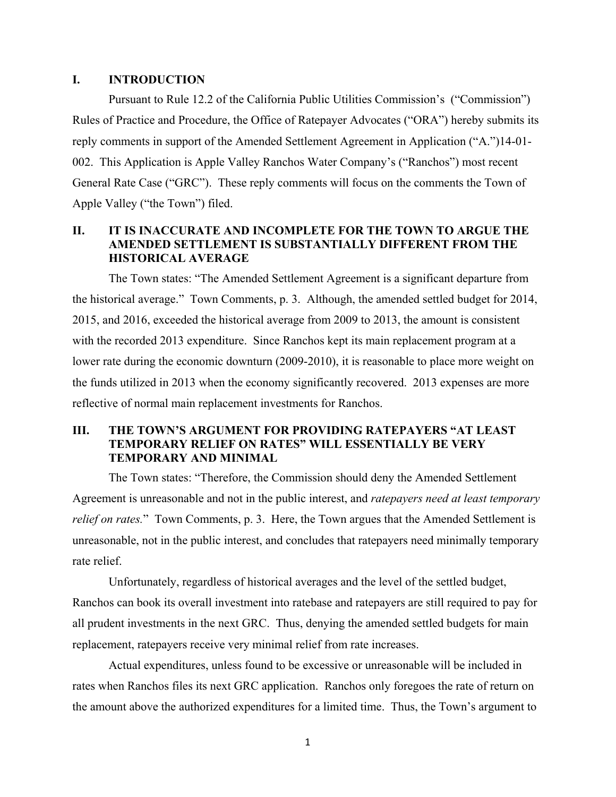#### **I. INTRODUCTION**

Pursuant to Rule 12.2 of the California Public Utilities Commission's ("Commission") Rules of Practice and Procedure, the Office of Ratepayer Advocates ("ORA") hereby submits its reply comments in support of the Amended Settlement Agreement in Application ("A.")14-01- 002. This Application is Apple Valley Ranchos Water Company's ("Ranchos") most recent General Rate Case ("GRC"). These reply comments will focus on the comments the Town of Apple Valley ("the Town") filed.

## **II. IT IS INACCURATE AND INCOMPLETE FOR THE TOWN TO ARGUE THE AMENDED SETTLEMENT IS SUBSTANTIALLY DIFFERENT FROM THE HISTORICAL AVERAGE**

The Town states: "The Amended Settlement Agreement is a significant departure from the historical average." Town Comments, p. 3. Although, the amended settled budget for 2014, 2015, and 2016, exceeded the historical average from 2009 to 2013, the amount is consistent with the recorded 2013 expenditure. Since Ranchos kept its main replacement program at a lower rate during the economic downturn (2009-2010), it is reasonable to place more weight on the funds utilized in 2013 when the economy significantly recovered. 2013 expenses are more reflective of normal main replacement investments for Ranchos.

## **III. THE TOWN'S ARGUMENT FOR PROVIDING RATEPAYERS "AT LEAST TEMPORARY RELIEF ON RATES" WILL ESSENTIALLY BE VERY TEMPORARY AND MINIMAL**

The Town states: "Therefore, the Commission should deny the Amended Settlement Agreement is unreasonable and not in the public interest, and *ratepayers need at least temporary relief on rates.*" Town Comments, p. 3. Here, the Town argues that the Amended Settlement is unreasonable, not in the public interest, and concludes that ratepayers need minimally temporary rate relief.

Unfortunately, regardless of historical averages and the level of the settled budget, Ranchos can book its overall investment into ratebase and ratepayers are still required to pay for all prudent investments in the next GRC. Thus, denying the amended settled budgets for main replacement, ratepayers receive very minimal relief from rate increases.

Actual expenditures, unless found to be excessive or unreasonable will be included in rates when Ranchos files its next GRC application. Ranchos only foregoes the rate of return on the amount above the authorized expenditures for a limited time. Thus, the Town's argument to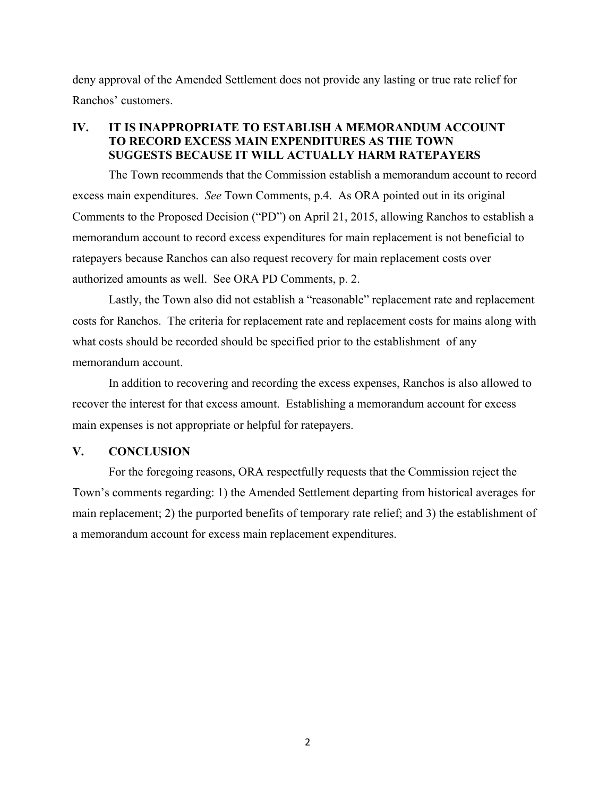deny approval of the Amended Settlement does not provide any lasting or true rate relief for Ranchos' customers.

## **IV. IT IS INAPPROPRIATE TO ESTABLISH A MEMORANDUM ACCOUNT TO RECORD EXCESS MAIN EXPENDITURES AS THE TOWN SUGGESTS BECAUSE IT WILL ACTUALLY HARM RATEPAYERS**

The Town recommends that the Commission establish a memorandum account to record excess main expenditures. *See* Town Comments, p.4. As ORA pointed out in its original Comments to the Proposed Decision ("PD") on April 21, 2015, allowing Ranchos to establish a memorandum account to record excess expenditures for main replacement is not beneficial to ratepayers because Ranchos can also request recovery for main replacement costs over authorized amounts as well. See ORA PD Comments, p. 2.

Lastly, the Town also did not establish a "reasonable" replacement rate and replacement costs for Ranchos. The criteria for replacement rate and replacement costs for mains along with what costs should be recorded should be specified prior to the establishment of any memorandum account.

In addition to recovering and recording the excess expenses, Ranchos is also allowed to recover the interest for that excess amount. Establishing a memorandum account for excess main expenses is not appropriate or helpful for ratepayers.

## **V. CONCLUSION**

For the foregoing reasons, ORA respectfully requests that the Commission reject the Town's comments regarding: 1) the Amended Settlement departing from historical averages for main replacement; 2) the purported benefits of temporary rate relief; and 3) the establishment of a memorandum account for excess main replacement expenditures.